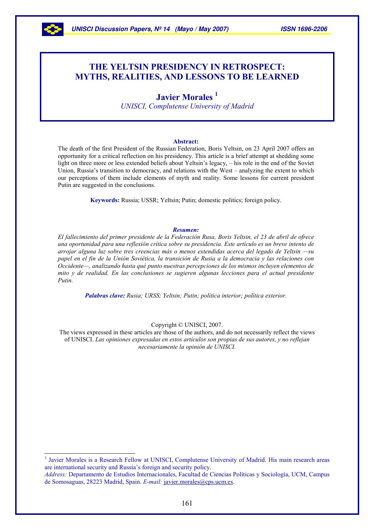

 $\overline{a}$ 

# THE YELTSIN PRESIDENCY IN RETROSPECT: MYTHS, REALITIES, AND LESSONS TO BE LEARNED

# Javier Morales<sup>1</sup>

UNISCI, Complutense University of Madrid

#### Abstract:

The death of the first President of the Russian Federation, Boris Yeltsin, on 23 April 2007 offers an opportunity for a critical reflection on his presidency. This article is a brief attempt at shedding some light on three more or less extended beliefs about Yeltsin's legacy, – his role in the end of the Soviet Union, Russia's transition to democracy, and relations with the West – analyzing the extent to which our perceptions of them include elements of myth and reality. Some lessons for current president Putin are suggested in the conclusions.

Keywords: Russia; USSR; Yeltsin; Putin; domestic politics; foreign policy.

#### Resumen:

El fallecimiento del primer presidente de la Federación Rusa, Boris Yeltsin, el 23 de abril de ofrece una oportunidad para una reflexión crítica sobre su presidencia. Este artículo es un breve intento de arrojar alguna luz sobre tres creencias más o menos extendidas acerca del legado de Yeltsin —su papel en el fin de la Unión Soviética, la transición de Rusia a la democracia y las relaciones con Occidente—, analizando hasta qué punto nuestras percepciones de los mismos incluyen elementos de mito y de realidad. En las conclusiones se sugieren algunas lecciones para el actual presidente Putin.

Palabras clave: Rusia; URSS; Yeltsin; Putin; política interior; política exterior.

#### Copyright © UNISCI, 2007.

The views expressed in these articles are those of the authors, and do not necessarily reflect the views of UNISCI. Las opiniones expresadas en estos artículos son propias de sus autores, y no reflejan necesariamente la opinión de UNISCI.

<sup>1</sup> Javier Morales is a Research Fellow at UNISCI, Complutense University of Madrid. His main research areas are international security and Russia's foreign and security policy.

Address: Departamento de Estudios Internacionales, Facultad de Ciencias Políticas y Sociología, UCM, Campus de Somosaguas, 28223 Madrid, Spain. E-mail: javier.morales@cps.ucm.es.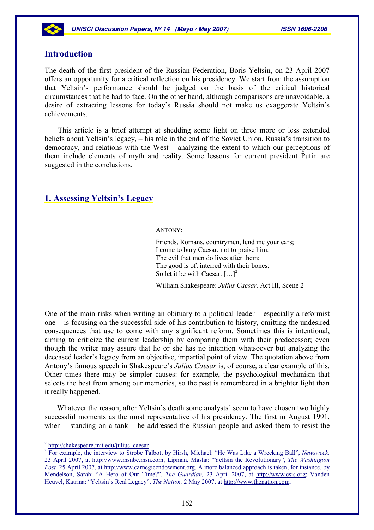

# Introduction

The death of the first president of the Russian Federation, Boris Yeltsin, on 23 April 2007 offers an opportunity for a critical reflection on his presidency. We start from the assumption that Yeltsin's performance should be judged on the basis of the critical historical circumstances that he had to face. On the other hand, although comparisons are unavoidable, a desire of extracting lessons for today's Russia should not make us exaggerate Yeltsin's achievements.

This article is a brief attempt at shedding some light on three more or less extended beliefs about Yeltsin's legacy, – his role in the end of the Soviet Union, Russia's transition to democracy, and relations with the West – analyzing the extent to which our perceptions of them include elements of myth and reality. Some lessons for current president Putin are suggested in the conclusions.

## 1. Assessing Yeltsin's Legacy

ANTONY:

Friends, Romans, countrymen, lend me your ears; I come to bury Caesar, not to praise him. The evil that men do lives after them; The good is oft interred with their bones; So let it be with Caesar.  $[\dots]^2$ 

William Shakespeare: Julius Caesar, Act III, Scene 2

One of the main risks when writing an obituary to a political leader – especially a reformist one – is focusing on the successful side of his contribution to history, omitting the undesired consequences that use to come with any significant reform. Sometimes this is intentional, aiming to criticize the current leadership by comparing them with their predecessor; even though the writer may assure that he or she has no intention whatsoever but analyzing the deceased leader's legacy from an objective, impartial point of view. The quotation above from Antony's famous speech in Shakespeare's *Julius Caesar* is, of course, a clear example of this. Other times there may be simpler causes: for example, the psychological mechanism that selects the best from among our memories, so the past is remembered in a brighter light than it really happened.

Whatever the reason, after Yeltsin's death some analysts<sup>3</sup> seem to have chosen two highly successful moments as the most representative of his presidency. The first in August 1991, when – standing on a tank – he addressed the Russian people and asked them to resist the

 $\overline{a}$ 

<sup>&</sup>lt;sup>2</sup> http://shakespeare.mit.edu/julius\_caesar

<sup>&</sup>lt;sup>3</sup> For example, the interview to Strobe Talbott by Hirsh, Michael: "He Was Like a Wrecking Ball", Newsweek, 23 April 2007, at http://www.msnbc.msn.com; Lipman, Masha: "Yeltsin the Revolutionary", The Washington Post, 25 April 2007, at http://www.carnegieendowment.org. A more balanced approach is taken, for instance, by Mendelson, Sarah: "A Hero of Our Time?", The Guardian, 23 April 2007, at http://www.csis.org; Vanden Heuvel, Katrina: "Yeltsin's Real Legacy", The Nation, 2 May 2007, at http://www.thenation.com.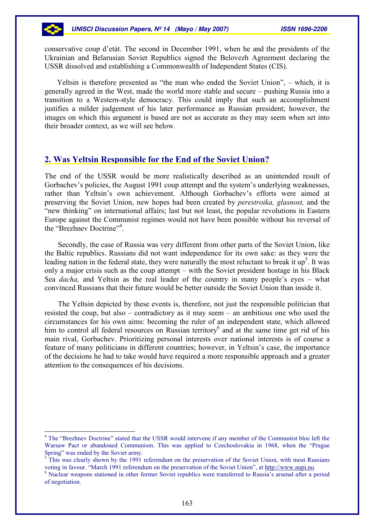conservative coup d'etát. The second in December 1991, when he and the presidents of the Ukrainian and Belarusian Soviet Republics signed the Belovezh Agreement declaring the USSR dissolved and establishing a Commonwealth of Independent States (CIS).

Yeltsin is therefore presented as "the man who ended the Soviet Union", – which, it is generally agreed in the West, made the world more stable and secure – pushing Russia into a transition to a Western-style democracy. This could imply that such an accomplishment justifies a milder judgement of his later performance as Russian president; however, the images on which this argument is based are not as accurate as they may seem when set into their broader context, as we will see below.

### 2. Was Yeltsin Responsible for the End of the Soviet Union?

The end of the USSR would be more realistically described as an unintended result of Gorbachev's policies, the August 1991 coup attempt and the system's underlying weaknesses, rather than Yeltsin's own achievement. Although Gorbachev's efforts were aimed at preserving the Soviet Union, new hopes had been created by perestroika, glasnost, and the "new thinking" on international affairs; last but not least, the popular revolutions in Eastern Europe against the Communist regimes would not have been possible without his reversal of the "Brezhnev Doctrine"<sup>4</sup>.

Secondly, the case of Russia was very different from other parts of the Soviet Union, like the Baltic republics. Russians did not want independence for its own sake: as they were the leading nation in the federal state, they were naturally the most reluctant to break it  $up<sup>5</sup>$ . It was only a major crisis such as the coup attempt – with the Soviet president hostage in his Black Sea *dacha*, and Yeltsin as the real leader of the country in many people's eyes – what convinced Russians that their future would be better outside the Soviet Union than inside it.

The Yeltsin depicted by these events is, therefore, not just the responsible politician that resisted the coup, but also – contradictory as it may seem – an ambitious one who used the circumstances for his own aims: becoming the ruler of an independent state, which allowed him to control all federal resources on Russian territory<sup>6</sup> and at the same time get rid of his main rival, Gorbachev. Prioritizing personal interests over national interests is of course a feature of many politicians in different countries; however, in Yeltsin's case, the importance of the decisions he had to take would have required a more responsible approach and a greater attention to the consequences of his decisions.

 $\overline{a}$ 

<sup>&</sup>lt;sup>4</sup> The "Brezhnev Doctrine" stated that the USSR would intervene if any member of the Communist bloc left the Warsaw Pact or abandoned Communism. This was applied to Czechoslovakia in 1968, when the "Prague Spring" was ended by the Soviet army.

<sup>5</sup> This was clearly shown by the 1991 referendum on the preservation of the Soviet Union, with most Russians voting in favour. "March 1991 referendum on the preservation of the Soviet Union", at http://www.nupi.no.

<sup>&</sup>lt;sup>6</sup> Nuclear weapons stationed in other former Soviet republics were transferred to Russia's arsenal after a period of negotiation.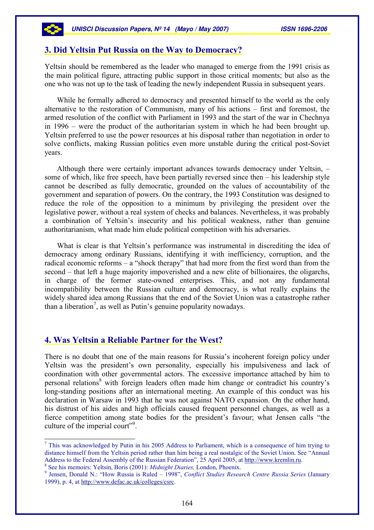### 3. Did Yeltsin Put Russia on the Way to Democracy?

Yeltsin should be remembered as the leader who managed to emerge from the 1991 crisis as the main political figure, attracting public support in those critical moments; but also as the one who was not up to the task of leading the newly independent Russia in subsequent years.

While he formally adhered to democracy and presented himself to the world as the only alternative to the restoration of Communism, many of his actions – first and foremost, the armed resolution of the conflict with Parliament in 1993 and the start of the war in Chechnya in 1996 – were the product of the authoritarian system in which he had been brought up. Yeltsin preferred to use the power resources at his disposal rather than negotiation in order to solve conflicts, making Russian politics even more unstable during the critical post-Soviet years.

Although there were certainly important advances towards democracy under Yeltsin, – some of which, like free speech, have been partially reversed since then – his leadership style cannot be described as fully democratic, grounded on the values of accountability of the government and separation of powers. On the contrary, the 1993 Constitution was designed to reduce the role of the opposition to a minimum by privileging the president over the legislative power, without a real system of checks and balances. Nevertheless, it was probably a combination of Yeltsin's insecurity and his political weakness, rather than genuine authoritarianism, what made him elude political competition with his adversaries.

What is clear is that Yeltsin's performance was instrumental in discrediting the idea of democracy among ordinary Russians, identifying it with inefficiency, corruption, and the radical economic reforms – a "shock therapy" that had more from the first word than from the second – that left a huge majority impoverished and a new elite of billionaires, the oligarchs, in charge of the former state-owned enterprises. This, and not any fundamental incompatibility between the Russian culture and democracy, is what really explains the widely shared idea among Russians that the end of the Soviet Union was a catastrophe rather than a liberation<sup>7</sup>, as well as Putin's genuine popularity nowadays.

### 4. Was Yeltsin a Reliable Partner for the West?

There is no doubt that one of the main reasons for Russia's incoherent foreign policy under Yeltsin was the president's own personality, especially his impulsiveness and lack of coordination with other governmental actors. The excessive importance attached by him to personal relations<sup>8</sup> with foreign leaders often made him change or contradict his country's long-standing positions after an international meeting. An example of this conduct was his declaration in Warsaw in 1993 that he was not against NATO expansion. On the other hand, his distrust of his aides and high officials caused frequent personnel changes, as well as a fierce competition among state bodies for the president's favour; what Jensen calls "the culture of the imperial court"<sup>9</sup>.

 $\overline{a}$ 

<sup>&</sup>lt;sup>7</sup> This was acknowledged by Putin in his 2005 Address to Parliament, which is a consequence of him trying to distance himself from the Yeltsin period rather than him being a real nostalgic of the Soviet Union. See "Annual Address to the Federal Assembly of the Russian Federation", 25 April 2005, at http://www.kremlin.ru.

<sup>&</sup>lt;sup>8</sup> See his memoirs: Yeltsin, Boris (2001): Midnight Diaries, London, Phoenix.

<sup>&</sup>lt;sup>9</sup> Jensen, Donald N.: "How Russia is Ruled – 1998", Conflict Studies Research Centre Russia Series (January 1999), p. 4, at http://www.defac.ac.uk/colleges/csrc.